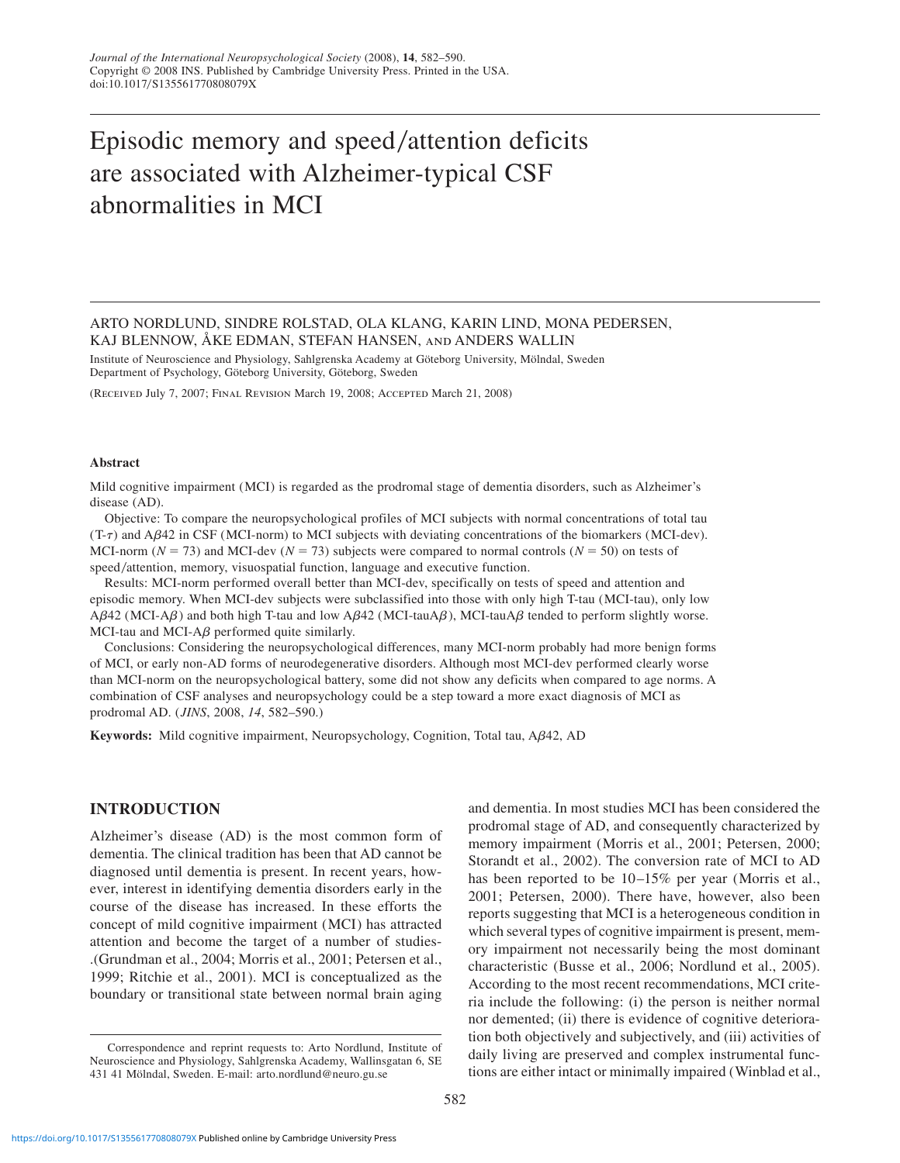# Episodic memory and speed/attention deficits are associated with Alzheimer-typical CSF abnormalities in MCI

ARTO NORDLUND, SINDRE ROLSTAD, OLA KLANG, KARIN LIND, MONA PEDERSEN, KAJ BLENNOW, ÅKE EDMAN, STEFAN HANSEN, and ANDERS WALLIN

Institute of Neuroscience and Physiology, Sahlgrenska Academy at Göteborg University, Mölndal, Sweden Department of Psychology, Göteborg University, Göteborg, Sweden

(Received July 7, 2007; Final Revision March 19, 2008; Accepted March 21, 2008)

#### **Abstract**

Mild cognitive impairment (MCI) is regarded as the prodromal stage of dementia disorders, such as Alzheimer's disease (AD).

Objective: To compare the neuropsychological profiles of MCI subjects with normal concentrations of total tau  $(T-\tau)$  and A $\beta$ 42 in CSF (MCI-norm) to MCI subjects with deviating concentrations of the biomarkers (MCI-dev). MCI-norm ( $N = 73$ ) and MCI-dev ( $N = 73$ ) subjects were compared to normal controls ( $N = 50$ ) on tests of speed/attention, memory, visuospatial function, language and executive function.

Results: MCI-norm performed overall better than MCI-dev, specifically on tests of speed and attention and episodic memory. When MCI-dev subjects were subclassified into those with only high T-tau (MCI-tau), only low  $A\beta$ 42 (MCI-A $\beta$ ) and both high T-tau and low A $\beta$ 42 (MCI-tauA $\beta$ ), MCI-tauA $\beta$  tended to perform slightly worse.  $MCI$ -tau and  $MCI-A\beta$  performed quite similarly.

Conclusions: Considering the neuropsychological differences, many MCI-norm probably had more benign forms of MCI, or early non-AD forms of neurodegenerative disorders. Although most MCI-dev performed clearly worse than MCI-norm on the neuropsychological battery, some did not show any deficits when compared to age norms. A combination of CSF analyses and neuropsychology could be a step toward a more exact diagnosis of MCI as prodromal AD. (*JINS*, 2008, *14*, 582–590.)

Keywords: Mild cognitive impairment, Neuropsychology, Cognition, Total tau, A $\beta$ 42, AD

## **INTRODUCTION**

Alzheimer's disease (AD) is the most common form of dementia. The clinical tradition has been that AD cannot be diagnosed until dementia is present. In recent years, however, interest in identifying dementia disorders early in the course of the disease has increased. In these efforts the concept of mild cognitive impairment (MCI) has attracted attention and become the target of a number of studies- .(Grundman et al., 2004; Morris et al., 2001; Petersen et al., 1999; Ritchie et al., 2001). MCI is conceptualized as the boundary or transitional state between normal brain aging

and dementia. In most studies MCI has been considered the prodromal stage of AD, and consequently characterized by memory impairment (Morris et al., 2001; Petersen, 2000; Storandt et al., 2002). The conversion rate of MCI to AD has been reported to be  $10-15\%$  per year (Morris et al., 2001; Petersen, 2000). There have, however, also been reports suggesting that MCI is a heterogeneous condition in which several types of cognitive impairment is present, memory impairment not necessarily being the most dominant characteristic (Busse et al., 2006; Nordlund et al., 2005). According to the most recent recommendations, MCI criteria include the following: (i) the person is neither normal nor demented; (ii) there is evidence of cognitive deterioration both objectively and subjectively, and (iii) activities of daily living are preserved and complex instrumental functions are either intact or minimally impaired (Winblad et al.,

Correspondence and reprint requests to: Arto Nordlund, Institute of Neuroscience and Physiology, Sahlgrenska Academy, Wallinsgatan 6, SE 431 41 Mölndal, Sweden. E-mail: arto.nordlund@neuro.gu.se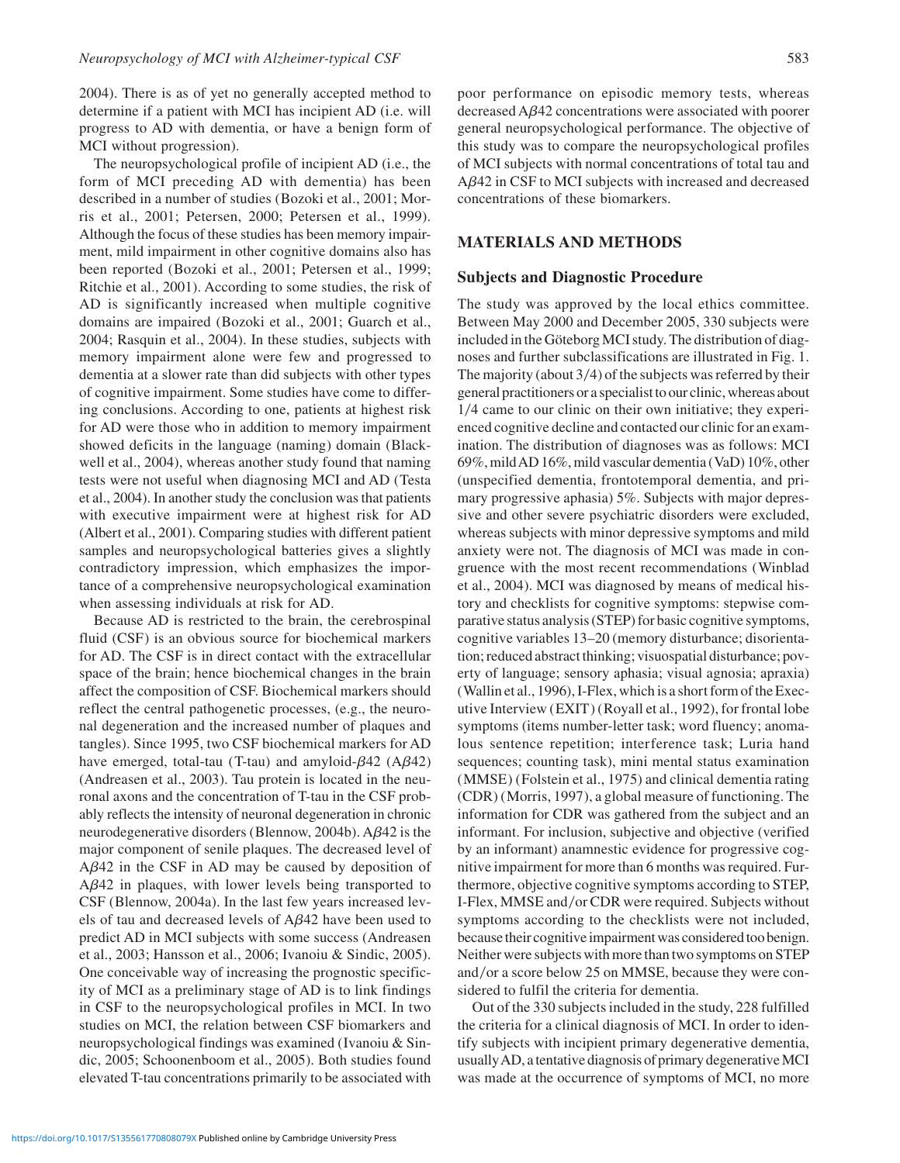2004). There is as of yet no generally accepted method to determine if a patient with MCI has incipient AD (i.e. will progress to AD with dementia, or have a benign form of MCI without progression).

The neuropsychological profile of incipient AD (i.e., the form of MCI preceding AD with dementia) has been described in a number of studies (Bozoki et al., 2001; Morris et al., 2001; Petersen, 2000; Petersen et al., 1999). Although the focus of these studies has been memory impairment, mild impairment in other cognitive domains also has been reported (Bozoki et al., 2001; Petersen et al., 1999; Ritchie et al., 2001). According to some studies, the risk of AD is significantly increased when multiple cognitive domains are impaired (Bozoki et al., 2001; Guarch et al., 2004; Rasquin et al., 2004). In these studies, subjects with memory impairment alone were few and progressed to dementia at a slower rate than did subjects with other types of cognitive impairment. Some studies have come to differing conclusions. According to one, patients at highest risk for AD were those who in addition to memory impairment showed deficits in the language (naming) domain (Blackwell et al., 2004), whereas another study found that naming tests were not useful when diagnosing MCI and AD (Testa et al., 2004). In another study the conclusion was that patients with executive impairment were at highest risk for AD (Albert et al., 2001). Comparing studies with different patient samples and neuropsychological batteries gives a slightly contradictory impression, which emphasizes the importance of a comprehensive neuropsychological examination when assessing individuals at risk for AD.

Because AD is restricted to the brain, the cerebrospinal fluid (CSF) is an obvious source for biochemical markers for AD. The CSF is in direct contact with the extracellular space of the brain; hence biochemical changes in the brain affect the composition of CSF. Biochemical markers should reflect the central pathogenetic processes, (e.g., the neuronal degeneration and the increased number of plaques and tangles). Since 1995, two CSF biochemical markers for AD have emerged, total-tau (T-tau) and amyloid- $\beta$ 42 (A $\beta$ 42) (Andreasen et al., 2003). Tau protein is located in the neuronal axons and the concentration of T-tau in the CSF probably reflects the intensity of neuronal degeneration in chronic neurodegenerative disorders (Blennow, 2004b).  $A\beta$ 42 is the major component of senile plaques. The decreased level of  $A\beta$ 42 in the CSF in AD may be caused by deposition of  $A\beta$ 42 in plaques, with lower levels being transported to CSF (Blennow, 2004a). In the last few years increased levels of tau and decreased levels of  $A\beta$ 42 have been used to predict AD in MCI subjects with some success (Andreasen et al., 2003; Hansson et al., 2006; Ivanoiu & Sindic, 2005). One conceivable way of increasing the prognostic specificity of MCI as a preliminary stage of AD is to link findings in CSF to the neuropsychological profiles in MCI. In two studies on MCI, the relation between CSF biomarkers and neuropsychological findings was examined (Ivanoiu & Sindic, 2005; Schoonenboom et al., 2005). Both studies found elevated T-tau concentrations primarily to be associated with poor performance on episodic memory tests, whereas decreased  $A\beta$ 42 concentrations were associated with poorer general neuropsychological performance. The objective of this study was to compare the neuropsychological profiles of MCI subjects with normal concentrations of total tau and  $A\beta$ 42 in CSF to MCI subjects with increased and decreased concentrations of these biomarkers.

## **MATERIALS AND METHODS**

#### **Subjects and Diagnostic Procedure**

The study was approved by the local ethics committee. Between May 2000 and December 2005, 330 subjects were included in the Göteborg MCI study. The distribution of diagnoses and further subclassifications are illustrated in Fig. 1. The majority (about  $3/4$ ) of the subjects was referred by their general practitioners or a specialistto our clinic, whereas about  $1/4$  came to our clinic on their own initiative; they experienced cognitive decline and contacted our clinic for an examination. The distribution of diagnoses was as follows: MCI 69%, mildAD 16%, mild vascular dementia (VaD) 10%, other (unspecified dementia, frontotemporal dementia, and primary progressive aphasia) 5%. Subjects with major depressive and other severe psychiatric disorders were excluded, whereas subjects with minor depressive symptoms and mild anxiety were not. The diagnosis of MCI was made in congruence with the most recent recommendations (Winblad et al., 2004). MCI was diagnosed by means of medical history and checklists for cognitive symptoms: stepwise comparative status analysis (STEP) for basic cognitive symptoms, cognitive variables 13–20 (memory disturbance; disorientation; reduced abstract thinking; visuospatial disturbance; poverty of language; sensory aphasia; visual agnosia; apraxia) (Wallin et al., 1996), I-Flex, which is a short form of the Executive Interview (EXIT) (Royall et al., 1992), for frontal lobe symptoms (items number-letter task; word fluency; anomalous sentence repetition; interference task; Luria hand sequences; counting task), mini mental status examination (MMSE) (Folstein et al., 1975) and clinical dementia rating (CDR) (Morris, 1997), a global measure of functioning. The information for CDR was gathered from the subject and an informant. For inclusion, subjective and objective (verified by an informant) anamnestic evidence for progressive cognitive impairment for more than 6 months was required. Furthermore, objective cognitive symptoms according to STEP, I-Flex, MMSE and/or CDR were required. Subjects without symptoms according to the checklists were not included, because their cognitive impairment was considered too benign. Neither were subjects with more than two symptoms on STEP and/or a score below 25 on MMSE, because they were considered to fulfil the criteria for dementia.

Out of the 330 subjects included in the study, 228 fulfilled the criteria for a clinical diagnosis of MCI. In order to identify subjects with incipient primary degenerative dementia, usuallyAD, atentative diagnosis of primary degenerativeMCI was made at the occurrence of symptoms of MCI, no more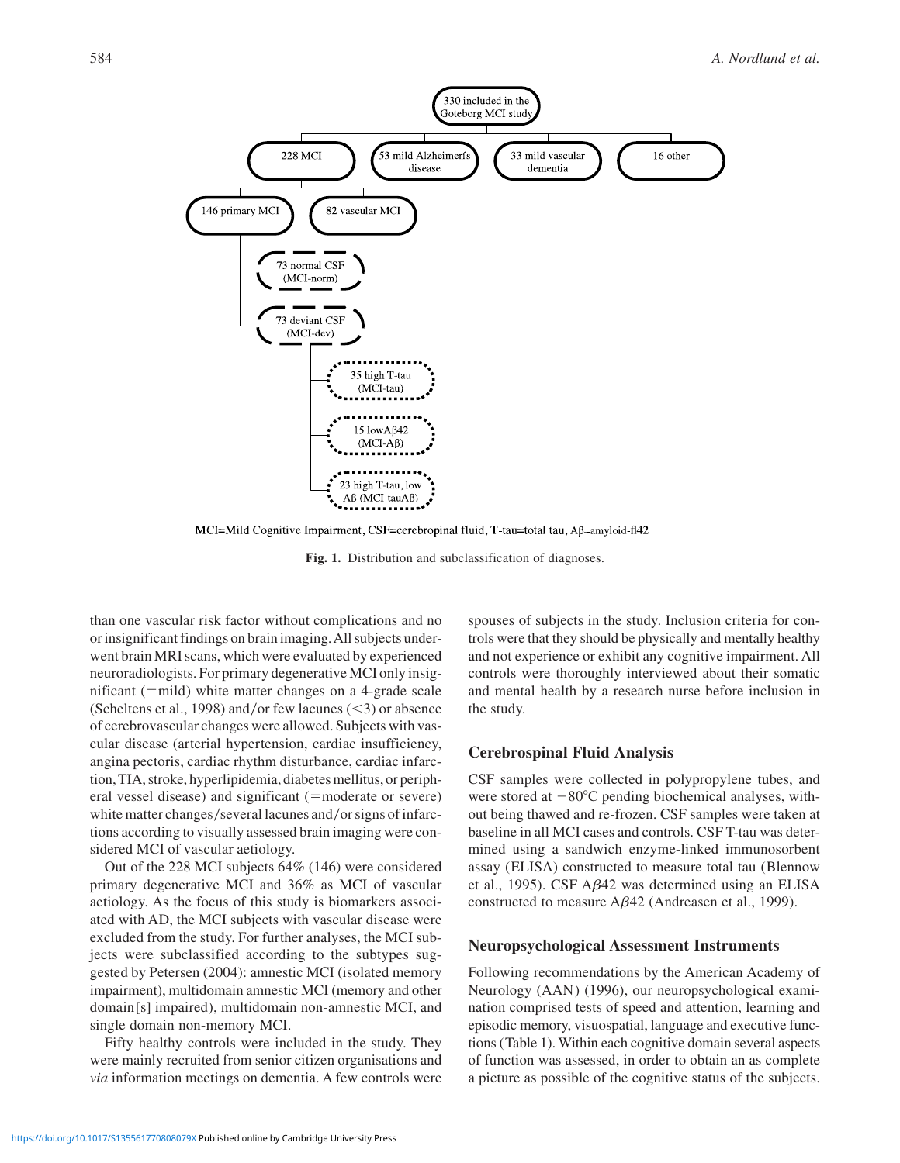

MCI=Mild Cognitive Impairment, CSF=cerebropinal fluid, T-tau=total tau, Aß=amyloid-fl42

**Fig. 1.** Distribution and subclassification of diagnoses.

than one vascular risk factor without complications and no or insignificant findings on brain imaging.All subjects underwent brain MRI scans, which were evaluated by experienced neuroradiologists. For primary degenerative MCI only insignificant  $(=mild)$  white matter changes on a 4-grade scale (Scheltens et al., 1998) and/or few lacunes  $(<$ 3) or absence of cerebrovascular changes were allowed. Subjects with vascular disease (arterial hypertension, cardiac insufficiency, angina pectoris, cardiac rhythm disturbance, cardiac infarction, TIA, stroke, hyperlipidemia, diabetes mellitus, or peripheral vessel disease) and significant (=moderate or severe) white matter changes/several lacunes and/or signs of infarctions according to visually assessed brain imaging were considered MCI of vascular aetiology.

Out of the 228 MCI subjects 64% (146) were considered primary degenerative MCI and 36% as MCI of vascular aetiology. As the focus of this study is biomarkers associated with AD, the MCI subjects with vascular disease were excluded from the study. For further analyses, the MCI subjects were subclassified according to the subtypes suggested by Petersen (2004): amnestic MCI (isolated memory impairment), multidomain amnestic MCI (memory and other domain[s] impaired), multidomain non-amnestic MCI, and single domain non-memory MCI.

Fifty healthy controls were included in the study. They were mainly recruited from senior citizen organisations and *via* information meetings on dementia. A few controls were

spouses of subjects in the study. Inclusion criteria for controls were that they should be physically and mentally healthy and not experience or exhibit any cognitive impairment. All controls were thoroughly interviewed about their somatic and mental health by a research nurse before inclusion in the study.

## **Cerebrospinal Fluid Analysis**

CSF samples were collected in polypropylene tubes, and were stored at  $-80^{\circ}$ C pending biochemical analyses, without being thawed and re-frozen. CSF samples were taken at baseline in all MCI cases and controls. CSF T-tau was determined using a sandwich enzyme-linked immunosorbent assay (ELISA) constructed to measure total tau (Blennow et al., 1995). CSF A $\beta$ 42 was determined using an ELISA constructed to measure  $A\beta$ 42 (Andreasen et al., 1999).

#### **Neuropsychological Assessment Instruments**

Following recommendations by the American Academy of Neurology (AAN) (1996), our neuropsychological examination comprised tests of speed and attention, learning and episodic memory, visuospatial, language and executive functions (Table 1). Within each cognitive domain several aspects of function was assessed, in order to obtain an as complete a picture as possible of the cognitive status of the subjects.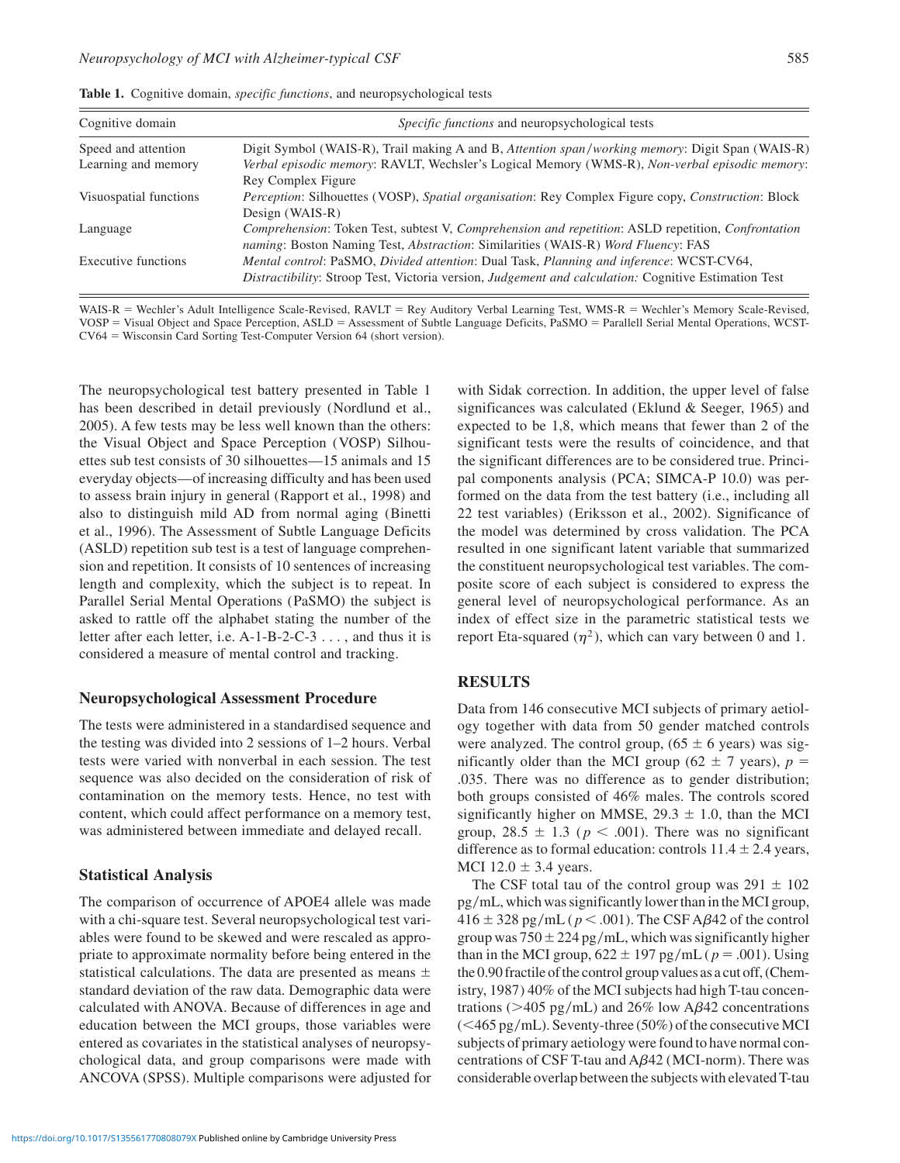| Cognitive domain       | <i>Specific functions</i> and neuropsychological tests                                                                  |  |  |  |  |  |
|------------------------|-------------------------------------------------------------------------------------------------------------------------|--|--|--|--|--|
| Speed and attention    | Digit Symbol (WAIS-R), Trail making A and B, Attention span/working memory: Digit Span (WAIS-R)                         |  |  |  |  |  |
| Learning and memory    | Verbal episodic memory: RAVLT, Wechsler's Logical Memory (WMS-R), Non-verbal episodic memory:                           |  |  |  |  |  |
|                        | Rey Complex Figure                                                                                                      |  |  |  |  |  |
| Visuospatial functions | <i>Perception:</i> Silhouettes (VOSP), <i>Spatial organisation:</i> Rey Complex Figure copy, <i>Construction:</i> Block |  |  |  |  |  |
|                        | Design (WAIS-R)                                                                                                         |  |  |  |  |  |
| Language               | Comprehension: Token Test, subtest V, Comprehension and repetition: ASLD repetition, Confrontation                      |  |  |  |  |  |
|                        | naming: Boston Naming Test, Abstraction: Similarities (WAIS-R) Word Fluency: FAS                                        |  |  |  |  |  |
| Executive functions    | Mental control: PaSMO, Divided attention: Dual Task, Planning and inference: WCST-CV64,                                 |  |  |  |  |  |
|                        | Distractibility: Stroop Test, Victoria version, Judgement and calculation: Cognitive Estimation Test                    |  |  |  |  |  |

**Table 1.** Cognitive domain, *specific functions*, and neuropsychological tests

WAIS-R = Wechler's Adult Intelligence Scale-Revised, RAVLT = Rey Auditory Verbal Learning Test, WMS-R = Wechler's Memory Scale-Revised, VOSP = Visual Object and Space Perception, ASLD = Assessment of Subtle Language Deficits, PaSMO = Parallell Serial Mental Operations, WCST- $CV64 = Wisconsin Card Sorting Test-Computer Version 64 (short version).$ 

The neuropsychological test battery presented in Table 1 has been described in detail previously (Nordlund et al., 2005). A few tests may be less well known than the others: the Visual Object and Space Perception (VOSP) Silhouettes sub test consists of 30 silhouettes—15 animals and 15 everyday objects—of increasing difficulty and has been used to assess brain injury in general (Rapport et al., 1998) and also to distinguish mild AD from normal aging (Binetti et al., 1996). The Assessment of Subtle Language Deficits (ASLD) repetition sub test is a test of language comprehension and repetition. It consists of 10 sentences of increasing length and complexity, which the subject is to repeat. In Parallel Serial Mental Operations (PaSMO) the subject is asked to rattle off the alphabet stating the number of the letter after each letter, i.e. A-1-B-2-C-3 . . . , and thus it is considered a measure of mental control and tracking.

#### **Neuropsychological Assessment Procedure**

The tests were administered in a standardised sequence and the testing was divided into 2 sessions of 1–2 hours. Verbal tests were varied with nonverbal in each session. The test sequence was also decided on the consideration of risk of contamination on the memory tests. Hence, no test with content, which could affect performance on a memory test, was administered between immediate and delayed recall.

#### **Statistical Analysis**

The comparison of occurrence of APOE4 allele was made with a chi-square test. Several neuropsychological test variables were found to be skewed and were rescaled as appropriate to approximate normality before being entered in the statistical calculations. The data are presented as means  $\pm$ standard deviation of the raw data. Demographic data were calculated with ANOVA. Because of differences in age and education between the MCI groups, those variables were entered as covariates in the statistical analyses of neuropsychological data, and group comparisons were made with ANCOVA (SPSS). Multiple comparisons were adjusted for

with Sidak correction. In addition, the upper level of false significances was calculated (Eklund & Seeger, 1965) and expected to be 1,8, which means that fewer than 2 of the significant tests were the results of coincidence, and that the significant differences are to be considered true. Principal components analysis (PCA; SIMCA-P 10.0) was performed on the data from the test battery (i.e., including all 22 test variables) (Eriksson et al., 2002). Significance of the model was determined by cross validation. The PCA resulted in one significant latent variable that summarized the constituent neuropsychological test variables. The composite score of each subject is considered to express the general level of neuropsychological performance. As an index of effect size in the parametric statistical tests we report Eta-squared  $(\eta^2)$ , which can vary between 0 and 1.

### **RESULTS**

Data from 146 consecutive MCI subjects of primary aetiology together with data from 50 gender matched controls were analyzed. The control group,  $(65 \pm 6 \text{ years})$  was significantly older than the MCI group (62  $\pm$  7 years), *p* = .035. There was no difference as to gender distribution; both groups consisted of 46% males. The controls scored significantly higher on MMSE,  $29.3 \pm 1.0$ , than the MCI group,  $28.5 \pm 1.3$  ( $p < .001$ ). There was no significant difference as to formal education: controls  $11.4 \pm 2.4$  years, MCI 12.0  $\pm$  3.4 years.

The CSF total tau of the control group was  $291 \pm 102$  $pg/mL$ , which was significantly lower than in the MCI group,  $416 \pm 328$  pg/mL ( $p < .001$ ). The CSF A $\beta$ 42 of the control group was  $750 \pm 224$  pg/mL, which was significantly higher than in the MCI group,  $622 \pm 197$  pg/mL ( $p = .001$ ). Using the  $0.90$  fractile of the control group values as a cut off, (Chemistry, 1987) 40% of the MCI subjects had high T-tau concentrations ( $>405$  pg/mL) and 26% low A $\beta$ 42 concentrations  $(<$ 465 pg/mL). Seventy-three (50%) of the consecutive MCI subjects of primary aetiology were found to have normal concentrations of CSF T-tau and  $A\beta$ 42 (MCI-norm). There was considerable overlap between the subjects with elevated T-tau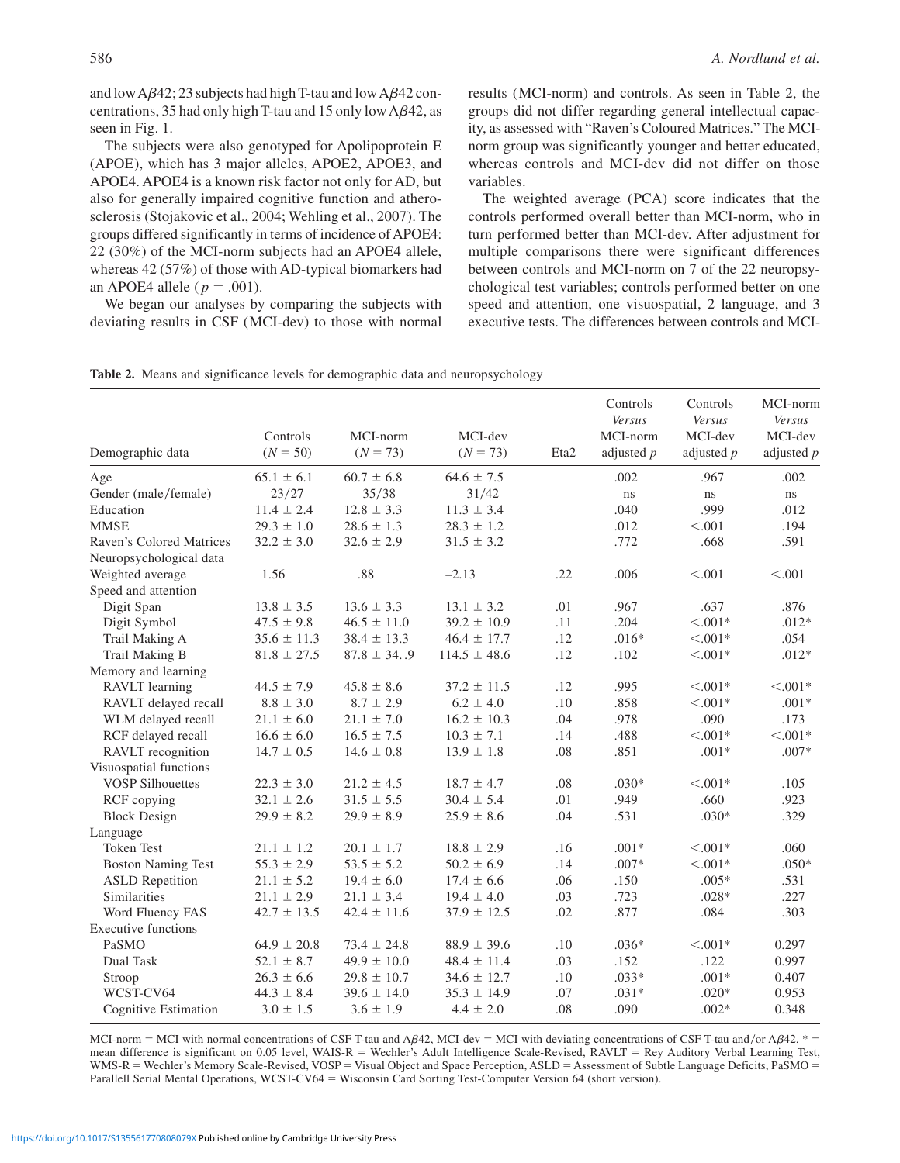and low A $\beta$ 42; 23 subjects had high T-tau and low A $\beta$ 42 concentrations, 35 had only high T-tau and 15 only low  $A\beta$ 42, as seen in Fig. 1.

The subjects were also genotyped for Apolipoprotein E (APOE), which has 3 major alleles, APOE2, APOE3, and APOE4. APOE4 is a known risk factor not only for AD, but also for generally impaired cognitive function and atherosclerosis (Stojakovic et al., 2004; Wehling et al., 2007). The groups differed significantly in terms of incidence of APOE4: 22 (30%) of the MCI-norm subjects had an APOE4 allele, whereas 42 (57%) of those with AD-typical biomarkers had an APOE4 allele ( $p = .001$ ).

We began our analyses by comparing the subjects with deviating results in CSF (MCI-dev) to those with normal results (MCI-norm) and controls. As seen in Table 2, the groups did not differ regarding general intellectual capacity, as assessed with "Raven's Coloured Matrices." The MCInorm group was significantly younger and better educated, whereas controls and MCI-dev did not differ on those variables.

The weighted average (PCA) score indicates that the controls performed overall better than MCI-norm, who in turn performed better than MCI-dev. After adjustment for multiple comparisons there were significant differences between controls and MCI-norm on 7 of the 22 neuropsychological test variables; controls performed better on one speed and attention, one visuospatial, 2 language, and 3 executive tests. The differences between controls and MCI-

|                             |                        | MCI-norm<br>$(N = 73)$ | MCI-dev<br>$(N = 73)$ |                  | Controls<br>Versus<br>MCI-norm<br>adjusted $p$ | Controls<br>Versus<br>MCI-dev<br>adjusted $p$ | MCI-norm<br>Versus<br>MCI-dev<br>adjusted $p$ |
|-----------------------------|------------------------|------------------------|-----------------------|------------------|------------------------------------------------|-----------------------------------------------|-----------------------------------------------|
| Demographic data            | Controls<br>$(N = 50)$ |                        |                       | Eta <sub>2</sub> |                                                |                                               |                                               |
|                             |                        |                        |                       |                  |                                                |                                               |                                               |
| Gender (male/female)        | 23/27                  | 35/38                  | 31/42                 |                  | ns                                             | ns                                            | ns                                            |
| Education                   | $11.4 \pm 2.4$         | $12.8 \pm 3.3$         | $11.3 \pm 3.4$        |                  | .040                                           | .999                                          | .012                                          |
| <b>MMSE</b>                 | $29.3 \pm 1.0$         | $28.6 \pm 1.3$         | $28.3 \pm 1.2$        |                  | .012                                           | < .001                                        | .194                                          |
| Raven's Colored Matrices    | $32.2 \pm 3.0$         | $32.6 \pm 2.9$         | $31.5 \pm 3.2$        |                  | .772                                           | .668                                          | .591                                          |
| Neuropsychological data     |                        |                        |                       |                  |                                                |                                               |                                               |
| Weighted average            | 1.56                   | .88                    | $-2.13$               | .22              | .006                                           | < .001                                        | < .001                                        |
| Speed and attention         |                        |                        |                       |                  |                                                |                                               |                                               |
| Digit Span                  | $13.8 \pm 3.5$         | $13.6 \pm 3.3$         | $13.1 \pm 3.2$        | .01              | .967                                           | .637                                          | .876                                          |
| Digit Symbol                | $47.5 \pm 9.8$         | $46.5 \pm 11.0$        | $39.2 \pm 10.9$       | .11              | .204                                           | $< .001*$                                     | $.012*$                                       |
| Trail Making A              | $35.6 \pm 11.3$        | $38.4 \pm 13.3$        | $46.4 \pm 17.7$       | .12              | $.016*$                                        | $< .001*$                                     | .054                                          |
| Trail Making B              | $81.8 \pm 27.5$        | $87.8 \pm 34.9$        | $114.5 \pm 48.6$      | .12              | .102                                           | $< .001*$                                     | $.012*$                                       |
| Memory and learning         |                        |                        |                       |                  |                                                |                                               |                                               |
| RAVLT learning              | $44.5 \pm 7.9$         | $45.8 \pm 8.6$         | $37.2 \pm 11.5$       | .12              | .995                                           | $< .001*$                                     | $< .001*$                                     |
| RAVLT delayed recall        | $8.8 \pm 3.0$          | $8.7 \pm 2.9$          | $6.2 \pm 4.0$         | .10              | .858                                           | $< .001*$                                     | $.001*$                                       |
| WLM delayed recall          | $21.1 \pm 6.0$         | $21.1 \pm 7.0$         | $16.2 \pm 10.3$       | .04              | .978                                           | .090                                          | .173                                          |
| RCF delayed recall          | $16.6 \pm 6.0$         | $16.5 \pm 7.5$         | $10.3 \pm 7.1$        | .14              | .488                                           | $< .001*$                                     | $< .001*$                                     |
| RAVLT recognition           | $14.7 \pm 0.5$         | $14.6 \pm 0.8$         | $13.9 \pm 1.8$        | .08              | .851                                           | $.001*$                                       | $.007*$                                       |
| Visuospatial functions      |                        |                        |                       |                  |                                                |                                               |                                               |
| <b>VOSP Silhouettes</b>     | $22.3 \pm 3.0$         | $21.2 \pm 4.5$         | $18.7 \pm 4.7$        | .08              | $.030*$                                        | $< .001*$                                     | .105                                          |
| RCF copying                 | $32.1 \pm 2.6$         | $31.5 \pm 5.5$         | $30.4 \pm 5.4$        | .01              | .949                                           | .660                                          | .923                                          |
| <b>Block Design</b>         | $29.9 \pm 8.2$         | $29.9 \pm 8.9$         | $25.9 \pm 8.6$        | .04              | .531                                           | $.030*$                                       | .329                                          |
| Language                    |                        |                        |                       |                  |                                                |                                               |                                               |
| <b>Token Test</b>           | $21.1 \pm 1.2$         | $20.1 \pm 1.7$         | $18.8 \pm 2.9$        | .16              | $.001*$                                        | $< .001*$                                     | .060                                          |
| <b>Boston Naming Test</b>   | $55.3 \pm 2.9$         | $53.5 \pm 5.2$         | $50.2 \pm 6.9$        | .14              | $.007*$                                        | $< .001*$                                     | $.050*$                                       |
| <b>ASLD</b> Repetition      | $21.1 \pm 5.2$         | $19.4 \pm 6.0$         | $17.4 \pm 6.6$        | .06              | .150                                           | $.005*$                                       | .531                                          |
| Similarities                | $21.1 \pm 2.9$         | $21.1 \pm 3.4$         | $19.4 \pm 4.0$        | .03              | .723                                           | $.028*$                                       | .227                                          |
| Word Fluency FAS            | $42.7 \pm 13.5$        | $42.4 \pm 11.6$        | $37.9 \pm 12.5$       | .02              | .877                                           | .084                                          | .303                                          |
| <b>Executive functions</b>  |                        |                        |                       |                  |                                                |                                               |                                               |
| PaSMO                       | $64.9 \pm 20.8$        | $73.4 \pm 24.8$        | $88.9 \pm 39.6$       | .10              | $.036*$                                        | $< .001*$                                     | 0.297                                         |
| Dual Task                   | $52.1 \pm 8.7$         | $49.9 \pm 10.0$        | $48.4 \pm 11.4$       | .03              | .152                                           | .122                                          | 0.997                                         |
| Stroop                      | $26.3 \pm 6.6$         | $29.8 \pm 10.7$        | $34.6 \pm 12.7$       | .10              | $.033*$                                        | $.001*$                                       | 0.407                                         |
| WCST-CV64                   | $44.3 \pm 8.4$         | $39.6 \pm 14.0$        | $35.3 \pm 14.9$       | .07              | $.031*$                                        | $.020*$                                       | 0.953                                         |
| <b>Cognitive Estimation</b> | $3.0 \pm 1.5$          | $3.6 \pm 1.9$          | $4.4 \pm 2.0$         | .08              | .090                                           | $.002*$                                       | 0.348                                         |

MCI-norm = MCI with normal concentrations of CSF T-tau and A $\beta$ 42, MCI-dev = MCI with deviating concentrations of CSF T-tau and/or A $\beta$ 42, \* mean difference is significant on 0.05 level, WAIS-R = Wechler's Adult Intelligence Scale-Revised, RAVLT = Rey Auditory Verbal Learning Test, WMS-R = Wechler's Memory Scale-Revised, VOSP = Visual Object and Space Perception, ASLD = Assessment of Subtle Language Deficits, PaSMO = Parallell Serial Mental Operations, WCST-CV64 = Wisconsin Card Sorting Test-Computer Version 64 (short version).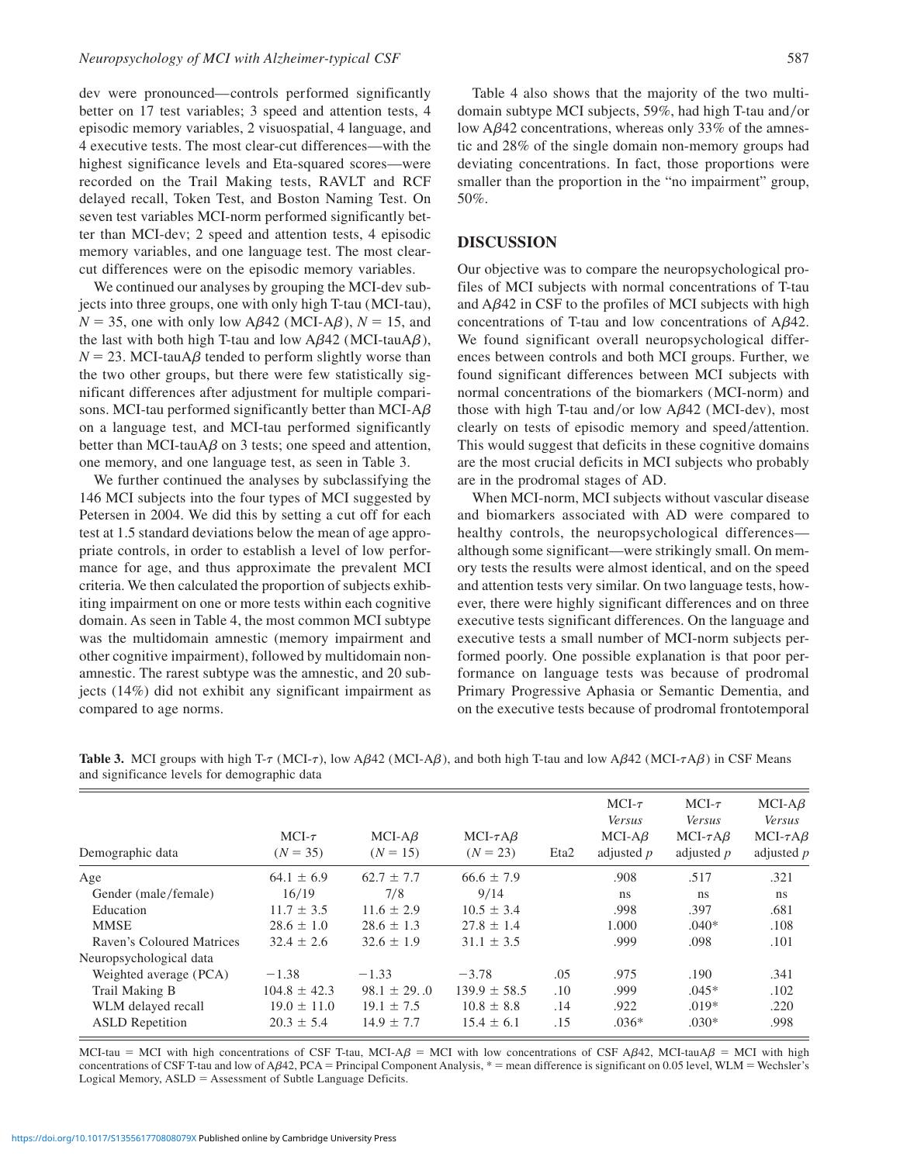dev were pronounced—controls performed significantly better on 17 test variables; 3 speed and attention tests, 4 episodic memory variables, 2 visuospatial, 4 language, and 4 executive tests. The most clear-cut differences—with the highest significance levels and Eta-squared scores—were recorded on the Trail Making tests, RAVLT and RCF delayed recall, Token Test, and Boston Naming Test. On seven test variables MCI-norm performed significantly better than MCI-dev; 2 speed and attention tests, 4 episodic memory variables, and one language test. The most clearcut differences were on the episodic memory variables.

We continued our analyses by grouping the MCI-dev subjects into three groups, one with only high T-tau (MCI-tau),  $N = 35$ , one with only low A $\beta$ 42 (MCI-A $\beta$ ),  $N = 15$ , and the last with both high T-tau and low  $A\beta$ 42 (MCI-tau $A\beta$ ),  $N = 23$ . MCI-tauA $\beta$  tended to perform slightly worse than the two other groups, but there were few statistically significant differences after adjustment for multiple comparisons. MCI-tau performed significantly better than MCI- $A\beta$ on a language test, and MCI-tau performed significantly better than MCI-tau $\Delta\beta$  on 3 tests; one speed and attention, one memory, and one language test, as seen in Table 3.

We further continued the analyses by subclassifying the 146 MCI subjects into the four types of MCI suggested by Petersen in 2004. We did this by setting a cut off for each test at 1.5 standard deviations below the mean of age appropriate controls, in order to establish a level of low performance for age, and thus approximate the prevalent MCI criteria. We then calculated the proportion of subjects exhibiting impairment on one or more tests within each cognitive domain. As seen in Table 4, the most common MCI subtype was the multidomain amnestic (memory impairment and other cognitive impairment), followed by multidomain nonamnestic. The rarest subtype was the amnestic, and 20 subjects (14%) did not exhibit any significant impairment as compared to age norms.

Table 4 also shows that the majority of the two multidomain subtype MCI subjects, 59%, had high T-tau and/or low  $A\beta$ 42 concentrations, whereas only 33% of the amnestic and 28% of the single domain non-memory groups had deviating concentrations. In fact, those proportions were smaller than the proportion in the "no impairment" group, 50%.

## **DISCUSSION**

Our objective was to compare the neuropsychological profiles of MCI subjects with normal concentrations of T-tau and  $A\beta$ 42 in CSF to the profiles of MCI subjects with high concentrations of T-tau and low concentrations of  $A\beta$ 42. We found significant overall neuropsychological differences between controls and both MCI groups. Further, we found significant differences between MCI subjects with normal concentrations of the biomarkers (MCI-norm) and those with high T-tau and/or low  $A\beta$ 42 (MCI-dev), most clearly on tests of episodic memory and speed/attention. This would suggest that deficits in these cognitive domains are the most crucial deficits in MCI subjects who probably are in the prodromal stages of AD.

When MCI-norm, MCI subjects without vascular disease and biomarkers associated with AD were compared to healthy controls, the neuropsychological differences although some significant—were strikingly small. On memory tests the results were almost identical, and on the speed and attention tests very similar. On two language tests, however, there were highly significant differences and on three executive tests significant differences. On the language and executive tests a small number of MCI-norm subjects performed poorly. One possible explanation is that poor performance on language tests was because of prodromal Primary Progressive Aphasia or Semantic Dementia, and on the executive tests because of prodromal frontotemporal

| Demographic data          | $MCI$ - $\tau$<br>$(N = 35)$ | $MCI-A\beta$<br>$(N = 15)$ | MCI- $\tau A\beta$<br>$(N = 23)$ | Eta <sub>2</sub> | $MCI-\tau$<br>Versus<br>$MCI-A\beta$<br>adjusted <i>p</i> | $MCI$ - $\tau$<br>Versus<br>$MCI$ - $\tau A\beta$<br>adjusted <i>p</i> | $MCI-A\beta$<br>Versus<br>$MCI - \tau A\beta$<br>adjusted $p$ |
|---------------------------|------------------------------|----------------------------|----------------------------------|------------------|-----------------------------------------------------------|------------------------------------------------------------------------|---------------------------------------------------------------|
| Age                       | $64.1 \pm 6.9$               | $62.7 \pm 7.7$             | $66.6 \pm 7.9$                   |                  | .908                                                      | .517                                                                   | .321                                                          |
| Gender (male/female)      | 16/19                        | 7/8                        | 9/14                             |                  | ns                                                        | ns                                                                     | ns.                                                           |
| Education                 | $11.7 \pm 3.5$               | $11.6 \pm 2.9$             | $10.5 \pm 3.4$                   |                  | .998                                                      | .397                                                                   | .681                                                          |
| <b>MMSE</b>               | $28.6 \pm 1.0$               | $28.6 \pm 1.3$             | $27.8 \pm 1.4$                   |                  | 1.000                                                     | $.040*$                                                                | .108                                                          |
| Raven's Coloured Matrices | $32.4 \pm 2.6$               | $32.6 \pm 1.9$             | $31.1 \pm 3.5$                   |                  | .999                                                      | .098                                                                   | .101                                                          |
| Neuropsychological data   |                              |                            |                                  |                  |                                                           |                                                                        |                                                               |
| Weighted average (PCA)    | $-1.38$                      | $-1.33$                    | $-3.78$                          | .05              | .975                                                      | .190                                                                   | .341                                                          |
| Trail Making B            | $104.8 \pm 42.3$             | $98.1 \pm 29.0$            | $139.9 \pm 58.5$                 | .10              | .999                                                      | $.045*$                                                                | .102                                                          |
| WLM delayed recall        | $19.0 \pm 11.0$              | $19.1 \pm 7.5$             | $10.8 \pm 8.8$                   | .14              | .922                                                      | $.019*$                                                                | .220                                                          |
| <b>ASLD</b> Repetition    | $20.3 \pm 5.4$               | $14.9 \pm 7.7$             | $15.4 \pm 6.1$                   | .15              | $.036*$                                                   | $.030*$                                                                | .998                                                          |

**Table 3.** MCI groups with high T- $\tau$  (MCI- $\tau$ ), low A $\beta$ 42 (MCI- $\beta$ ), and both high T-tau and low A $\beta$ 42 (MCI- $\tau$ A $\beta$ ) in CSF Means and significance levels for demographic data

MCI-tau = MCI with high concentrations of CSF T-tau, MCI-A $\beta$  = MCI with low concentrations of CSF A $\beta$ 42, MCI-tauA $\beta$  = MCI with high concentrations of CSF T-tau and low of A $\beta$ 42, PCA = Principal Component Analysis, \* = mean difference is significant on 0.05 level, WLM = Wechsler's Logical Memory,  $ASLD =$  Assessment of Subtle Language Deficits.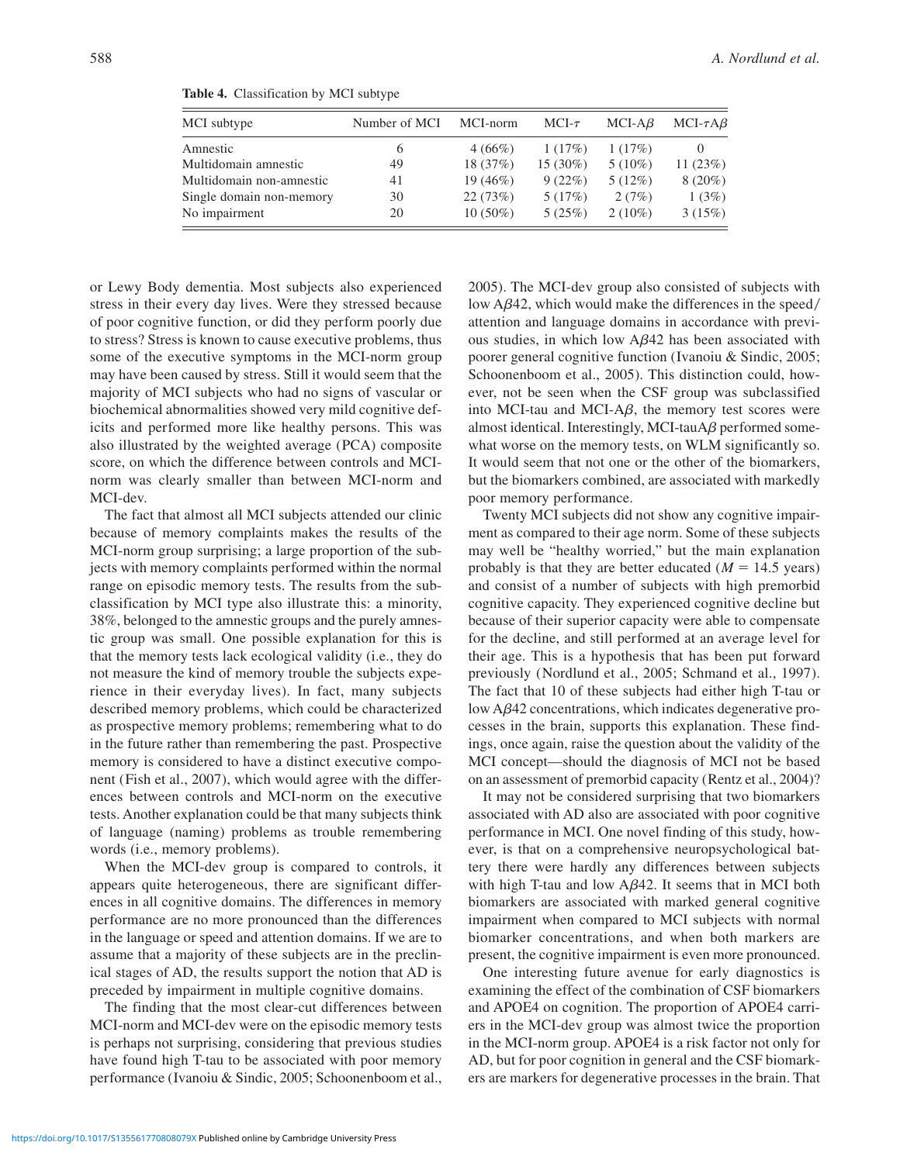| MCI subtype              | Number of MCI | MCI-norm   | $MCI$ - $\tau$ | $MCI-A\beta$ | MCI- $\tau A\beta$ |
|--------------------------|---------------|------------|----------------|--------------|--------------------|
| Amnestic                 | 6             | $4(66\%)$  | 1(17%)         | 1(17%)       |                    |
| Multidomain amnestic     | 49            | 18 (37%)   | $15(30\%)$     | $5(10\%)$    | 11 $(23%)$         |
| Multidomain non-amnestic | 41            | $19(46\%)$ | 9(22%)         | $5(12\%)$    | $8(20\%)$          |
| Single domain non-memory | 30            | 22(73%)    | 5(17%)         | 2(7%)        | 1(3%)              |
| No impairment            | 20            | $10(50\%)$ | 5(25%)         | $2(10\%)$    | 3(15%)             |
|                          |               |            |                |              |                    |

**Table 4.** Classification by MCI subtype

or Lewy Body dementia. Most subjects also experienced stress in their every day lives. Were they stressed because of poor cognitive function, or did they perform poorly due to stress? Stress is known to cause executive problems, thus some of the executive symptoms in the MCI-norm group may have been caused by stress. Still it would seem that the majority of MCI subjects who had no signs of vascular or biochemical abnormalities showed very mild cognitive deficits and performed more like healthy persons. This was also illustrated by the weighted average (PCA) composite score, on which the difference between controls and MCInorm was clearly smaller than between MCI-norm and MCI-dev.

The fact that almost all MCI subjects attended our clinic because of memory complaints makes the results of the MCI-norm group surprising; a large proportion of the subjects with memory complaints performed within the normal range on episodic memory tests. The results from the subclassification by MCI type also illustrate this: a minority, 38%, belonged to the amnestic groups and the purely amnestic group was small. One possible explanation for this is that the memory tests lack ecological validity (i.e., they do not measure the kind of memory trouble the subjects experience in their everyday lives). In fact, many subjects described memory problems, which could be characterized as prospective memory problems; remembering what to do in the future rather than remembering the past. Prospective memory is considered to have a distinct executive component (Fish et al., 2007), which would agree with the differences between controls and MCI-norm on the executive tests. Another explanation could be that many subjects think of language (naming) problems as trouble remembering words (i.e., memory problems).

When the MCI-dev group is compared to controls, it appears quite heterogeneous, there are significant differences in all cognitive domains. The differences in memory performance are no more pronounced than the differences in the language or speed and attention domains. If we are to assume that a majority of these subjects are in the preclinical stages of AD, the results support the notion that AD is preceded by impairment in multiple cognitive domains.

The finding that the most clear-cut differences between MCI-norm and MCI-dev were on the episodic memory tests is perhaps not surprising, considering that previous studies have found high T-tau to be associated with poor memory performance (Ivanoiu & Sindic, 2005; Schoonenboom et al., 2005). The MCI-dev group also consisted of subjects with low  $A\beta$ 42, which would make the differences in the speed/ attention and language domains in accordance with previous studies, in which low  $A\beta$ 42 has been associated with poorer general cognitive function (Ivanoiu & Sindic, 2005; Schoonenboom et al., 2005). This distinction could, however, not be seen when the CSF group was subclassified into MCI-tau and MCI- $A\beta$ , the memory test scores were almost identical. Interestingly, MCI-tau $\Delta\beta$  performed somewhat worse on the memory tests, on WLM significantly so. It would seem that not one or the other of the biomarkers, but the biomarkers combined, are associated with markedly poor memory performance.

Twenty MCI subjects did not show any cognitive impairment as compared to their age norm. Some of these subjects may well be "healthy worried," but the main explanation probably is that they are better educated  $(M = 14.5 \text{ years})$ and consist of a number of subjects with high premorbid cognitive capacity. They experienced cognitive decline but because of their superior capacity were able to compensate for the decline, and still performed at an average level for their age. This is a hypothesis that has been put forward previously (Nordlund et al., 2005; Schmand et al., 1997). The fact that 10 of these subjects had either high T-tau or low  $A\beta$ 42 concentrations, which indicates degenerative processes in the brain, supports this explanation. These findings, once again, raise the question about the validity of the MCI concept—should the diagnosis of MCI not be based on an assessment of premorbid capacity (Rentz et al., 2004)?

It may not be considered surprising that two biomarkers associated with AD also are associated with poor cognitive performance in MCI. One novel finding of this study, however, is that on a comprehensive neuropsychological battery there were hardly any differences between subjects with high T-tau and low  $A\beta$ 42. It seems that in MCI both biomarkers are associated with marked general cognitive impairment when compared to MCI subjects with normal biomarker concentrations, and when both markers are present, the cognitive impairment is even more pronounced.

One interesting future avenue for early diagnostics is examining the effect of the combination of CSF biomarkers and APOE4 on cognition. The proportion of APOE4 carriers in the MCI-dev group was almost twice the proportion in the MCI-norm group. APOE4 is a risk factor not only for AD, but for poor cognition in general and the CSF biomarkers are markers for degenerative processes in the brain. That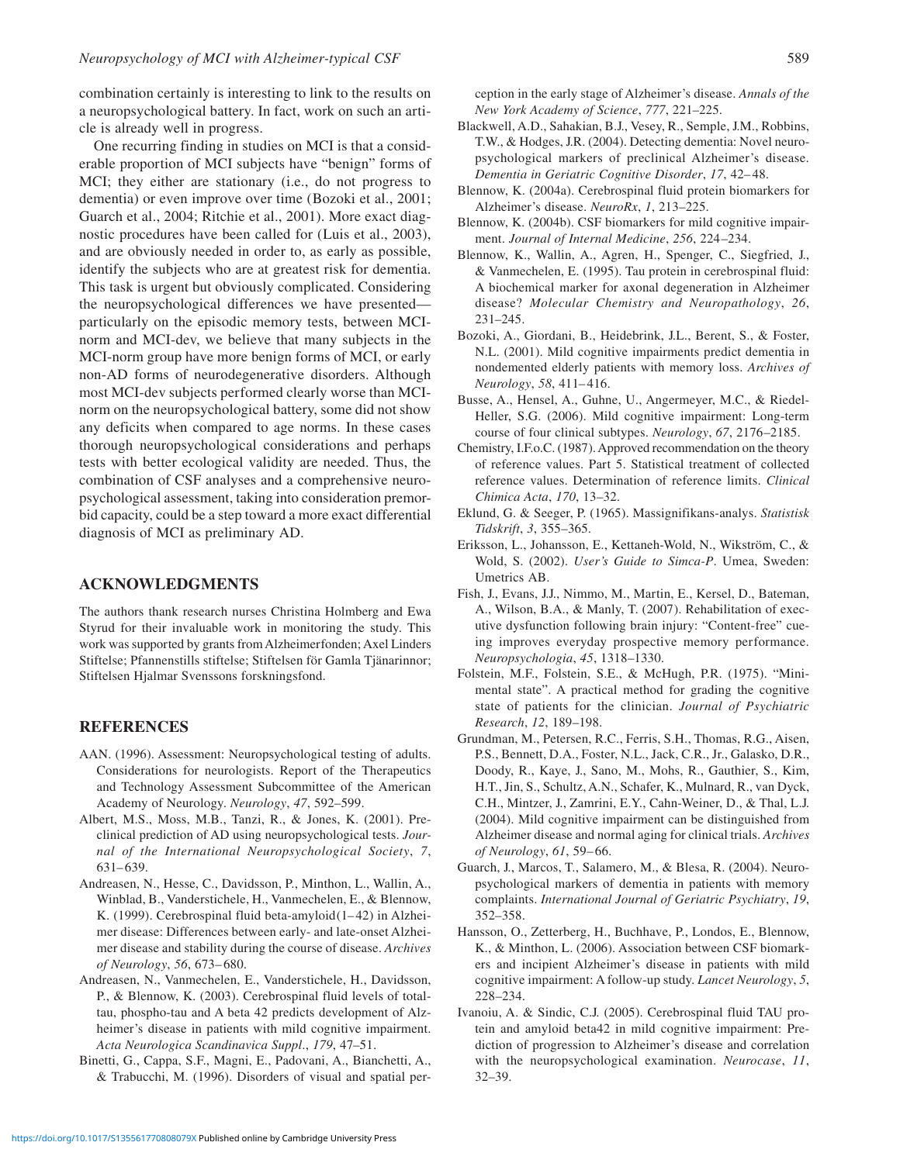combination certainly is interesting to link to the results on a neuropsychological battery. In fact, work on such an article is already well in progress.

One recurring finding in studies on MCI is that a considerable proportion of MCI subjects have "benign" forms of MCI; they either are stationary (i.e., do not progress to dementia) or even improve over time (Bozoki et al., 2001; Guarch et al., 2004; Ritchie et al., 2001). More exact diagnostic procedures have been called for (Luis et al., 2003), and are obviously needed in order to, as early as possible, identify the subjects who are at greatest risk for dementia. This task is urgent but obviously complicated. Considering the neuropsychological differences we have presented particularly on the episodic memory tests, between MCInorm and MCI-dev, we believe that many subjects in the MCI-norm group have more benign forms of MCI, or early non-AD forms of neurodegenerative disorders. Although most MCI-dev subjects performed clearly worse than MCInorm on the neuropsychological battery, some did not show any deficits when compared to age norms. In these cases thorough neuropsychological considerations and perhaps tests with better ecological validity are needed. Thus, the combination of CSF analyses and a comprehensive neuropsychological assessment, taking into consideration premorbid capacity, could be a step toward a more exact differential diagnosis of MCI as preliminary AD.

#### **ACKNOWLEDGMENTS**

The authors thank research nurses Christina Holmberg and Ewa Styrud for their invaluable work in monitoring the study. This work was supported by grants from Alzheimerfonden; Axel Linders Stiftelse; Pfannenstills stiftelse; Stiftelsen för Gamla Tjänarinnor; Stiftelsen Hjalmar Svenssons forskningsfond.

## **REFERENCES**

- AAN. (1996). Assessment: Neuropsychological testing of adults. Considerations for neurologists. Report of the Therapeutics and Technology Assessment Subcommittee of the American Academy of Neurology. *Neurology*, *47*, 592–599.
- Albert, M.S., Moss, M.B., Tanzi, R., & Jones, K. (2001). Preclinical prediction of AD using neuropsychological tests. *Journal of the International Neuropsychological Society*, *7*, 631– 639.
- Andreasen, N., Hesse, C., Davidsson, P., Minthon, L., Wallin, A., Winblad, B., Vanderstichele, H., Vanmechelen, E., & Blennow, K. (1999). Cerebrospinal fluid beta-amyloid(1–42) in Alzheimer disease: Differences between early- and late-onset Alzheimer disease and stability during the course of disease. *Archives of Neurology*, *56*, 673– 680.
- Andreasen, N., Vanmechelen, E., Vanderstichele, H., Davidsson, P., & Blennow, K. (2003). Cerebrospinal fluid levels of totaltau, phospho-tau and A beta 42 predicts development of Alzheimer's disease in patients with mild cognitive impairment. *Acta Neurologica Scandinavica Suppl*., *179*, 47–51.
- Binetti, G., Cappa, S.F., Magni, E., Padovani, A., Bianchetti, A., & Trabucchi, M. (1996). Disorders of visual and spatial per-

ception in the early stage of Alzheimer's disease. *Annals of the New York Academy of Science*, *777*, 221–225.

- Blackwell, A.D., Sahakian, B.J., Vesey, R., Semple, J.M., Robbins, T.W., & Hodges, J.R. (2004). Detecting dementia: Novel neuropsychological markers of preclinical Alzheimer's disease. *Dementia in Geriatric Cognitive Disorder*, *17*, 42– 48.
- Blennow, K. (2004a). Cerebrospinal fluid protein biomarkers for Alzheimer's disease. *NeuroRx*, *1*, 213–225.
- Blennow, K. (2004b). CSF biomarkers for mild cognitive impairment. *Journal of Internal Medicine*, *256*, 224–234.
- Blennow, K., Wallin, A., Agren, H., Spenger, C., Siegfried, J., & Vanmechelen, E. (1995). Tau protein in cerebrospinal fluid: A biochemical marker for axonal degeneration in Alzheimer disease? *Molecular Chemistry and Neuropathology*, *26*, 231–245.
- Bozoki, A., Giordani, B., Heidebrink, J.L., Berent, S., & Foster, N.L. (2001). Mild cognitive impairments predict dementia in nondemented elderly patients with memory loss. *Archives of Neurology*, *58*, 411– 416.
- Busse, A., Hensel, A., Guhne, U., Angermeyer, M.C., & Riedel-Heller, S.G. (2006). Mild cognitive impairment: Long-term course of four clinical subtypes. *Neurology*, *67*, 2176–2185.
- Chemistry, I.F.o.C. (1987). Approved recommendation on the theory of reference values. Part 5. Statistical treatment of collected reference values. Determination of reference limits. *Clinical Chimica Acta*, *170*, 13–32.
- Eklund, G. & Seeger, P. (1965). Massignifikans-analys. *Statistisk Tidskrift*, *3*, 355–365.
- Eriksson, L., Johansson, E., Kettaneh-Wold, N., Wikström, C., & Wold, S. (2002). *User's Guide to Simca-P*. Umea, Sweden: Umetrics AB.
- Fish, J., Evans, J.J., Nimmo, M., Martin, E., Kersel, D., Bateman, A., Wilson, B.A., & Manly, T. (2007). Rehabilitation of executive dysfunction following brain injury: "Content-free" cueing improves everyday prospective memory performance. *Neuropsychologia*, *45*, 1318–1330.
- Folstein, M.F., Folstein, S.E., & McHugh, P.R. (1975). "Minimental state". A practical method for grading the cognitive state of patients for the clinician. *Journal of Psychiatric Research*, *12*, 189–198.
- Grundman, M., Petersen, R.C., Ferris, S.H., Thomas, R.G., Aisen, P.S., Bennett, D.A., Foster, N.L., Jack, C.R., Jr., Galasko, D.R., Doody, R., Kaye, J., Sano, M., Mohs, R., Gauthier, S., Kim, H.T., Jin, S., Schultz, A.N., Schafer, K., Mulnard, R., van Dyck, C.H., Mintzer, J., Zamrini, E.Y., Cahn-Weiner, D., & Thal, L.J. (2004). Mild cognitive impairment can be distinguished from Alzheimer disease and normal aging for clinical trials. *Archives of Neurology*, *61*, 59– 66.
- Guarch, J., Marcos, T., Salamero, M., & Blesa, R. (2004). Neuropsychological markers of dementia in patients with memory complaints. *International Journal of Geriatric Psychiatry*, *19*, 352–358.
- Hansson, O., Zetterberg, H., Buchhave, P., Londos, E., Blennow, K., & Minthon, L. (2006). Association between CSF biomarkers and incipient Alzheimer's disease in patients with mild cognitive impairment: A follow-up study. *Lancet Neurology*, *5*, 228–234.
- Ivanoiu, A. & Sindic, C.J. (2005). Cerebrospinal fluid TAU protein and amyloid beta42 in mild cognitive impairment: Prediction of progression to Alzheimer's disease and correlation with the neuropsychological examination. *Neurocase*, *11*, 32–39.